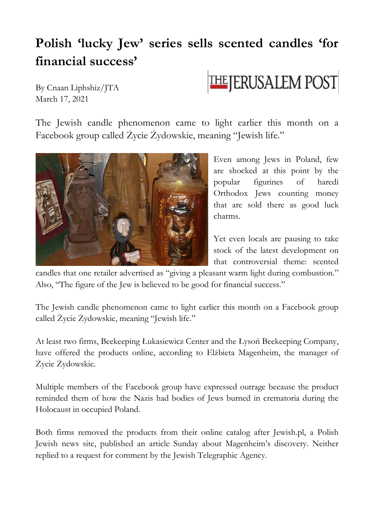## **Polish 'lucky Jew' series sells scented candles 'for financial success'**

By Cnaan Liphshiz/JTA March 17, 2021

**THE JERUSALEM POST** 

The Jewish candle phenomenon came to light earlier this month on a Facebook group called Życie Żydowskie, meaning "Jewish life."



Even among Jews in Poland, few are shocked at this point by the popular figurines of haredi Orthodox Jews counting money that are sold there as good luck charms.

Yet even locals are pausing to take stock of the latest development on that controversial theme: scented

candles that one retailer advertised as "giving a pleasant warm light during combustion." Also, "The figure of the Jew is believed to be good for financial success."

The Jewish candle phenomenon came to light earlier this month on a Facebook group called Życie Żydowskie, meaning "Jewish life."

At least two firms, Beekeeping Łukasiewicz Center and the Łysoń Beekeeping Company, have offered the products online, according to Elżbieta Magenheim, the manager of Życie Żydowskie.

Multiple members of the Facebook group have expressed outrage because the product reminded them of how the Nazis had bodies of Jews burned in crematoria during the Holocaust in occupied Poland.

Both firms removed the products from their online catalog after Jewish.pl, a Polish Jewish news site, published an article Sunday about Magenheim's discovery. Neither replied to a request for comment by the Jewish Telegraphic Agency.